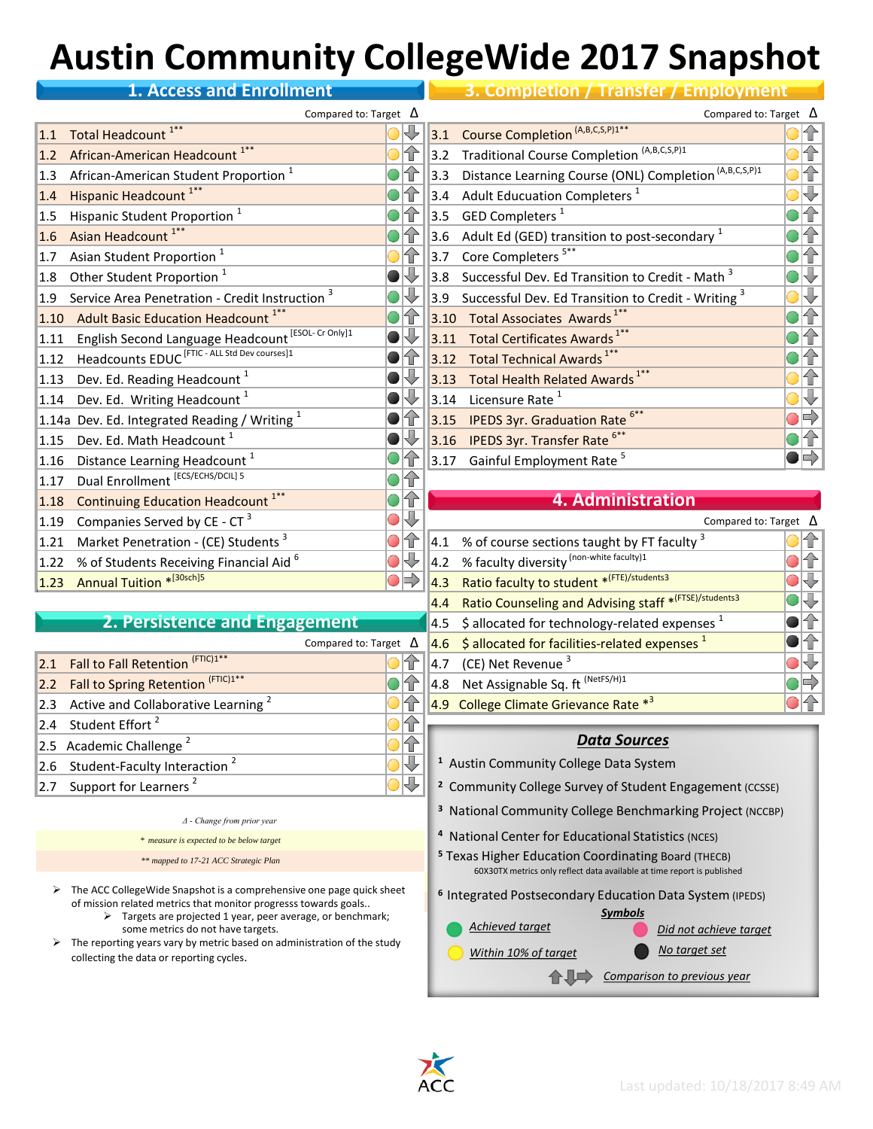## **Austin Community CollegeWide 2017 Snapshot**

| <b>1. Access and Enrollment</b>                                   |                      |               | 3. Completion / Transfer / Employment                     |                                    |
|-------------------------------------------------------------------|----------------------|---------------|-----------------------------------------------------------|------------------------------------|
| Compared to: Target $\Delta$                                      |                      |               | Compared to: Target $\Delta$                              |                                    |
| Total Headcount <sup>1**</sup><br>1.1                             |                      | 3.1           | Course Completion <sup>(A,B,C,S,P)1**</sup>               | 怜                                  |
| African-American Headcount <sup>1**</sup><br>1.2                  | ⇧                    | 3.2           | Traditional Course Completion <sup>(A,B,C,S,P)1</sup>     | 奋                                  |
| African-American Student Proportion <sup>1</sup><br>1.3           | 冶                    | 3.3           | Distance Learning Course (ONL) Completion (A,B,C,S,P)1    | 个                                  |
| Hispanic Headcount <sup>1**</sup><br>1.4                          | 一个                   | 3.4           | Adult Educuation Completers <sup>1</sup>                  | 马                                  |
| Hispanic Student Proportion <sup>1</sup><br>1.5                   | 9년                   | 3.5           | GED Completers <sup>1</sup>                               | 存                                  |
| Asian Headcount <sup>1**</sup><br>1.6                             | 冶                    | 3.6           | Adult Ed (GED) transition to post-secondary <sup>1</sup>  | 存                                  |
| Asian Student Proportion <sup>1</sup><br>1.7                      | 一                    | 3.7           | Core Completers <sup>5**</sup>                            | 存                                  |
| Other Student Proportion <sup>1</sup><br>1.8                      | $\downarrow$         |               | 3.8 Successful Dev. Ed Transition to Credit - Math $3$    | ₹                                  |
| Service Area Penetration - Credit Instruction <sup>3</sup><br>1.9 | 9 Q                  |               | 3.9 Successful Dev. Ed Transition to Credit - Writing $3$ | 七                                  |
| <b>Adult Basic Education Headcount<sup>1**</sup></b><br>1.10      | 伦                    |               | 3.10 Total Associates Awards <sup>1**</sup>               | 个                                  |
| English Second Language Headcount [ESOL- Cr Only]1<br>1.11        | $\bullet \Downarrow$ |               | 3.11 Total Certificates Awards <sup>1**</sup>             | 奋                                  |
| Headcounts EDUC <sup>[FTIC-ALL Std Dev courses]1</sup><br>1.12    | 全                    |               | 3.12 Total Technical Awards <sup>1**</sup>                | 个                                  |
| Dev. Ed. Reading Headcount <sup>1</sup><br>1.13                   | $\downarrow$         |               | 3.13 Total Health Related Awards <sup>1**</sup>           | 奋                                  |
| Dev. Ed. Writing Headcount <sup>1</sup><br>1.14                   | $\bullet \Downarrow$ | 3.14          | Licensure Rate <sup>1</sup>                               | 心                                  |
| 1.14a Dev. Ed. Integrated Reading / Writing 1                     | $\bullet$            |               | 3.15 IPEDS 3yr. Graduation Rate 6**                       | 马奋                                 |
| Dev. Ed. Math Headcount <sup>1</sup><br>1.15                      | $\bullet\forall$     |               | 3.16 IPEDS 3yr. Transfer Rate <sup>6**</sup>              |                                    |
| Distance Learning Headcount <sup>1</sup><br>1.16                  | 全                    |               | 3.17 Gainful Employment Rate <sup>5</sup>                 | $\overline{\bullet}$ $\Rightarrow$ |
| Dual Enrollment [ECS/ECHS/DCIL] 5<br>1.17                         | 仚                    |               |                                                           |                                    |
| <b>Continuing Education Headcount<sup>1**</sup></b><br>1.18       | ⇧                    |               | <b>4. Administration</b>                                  |                                    |
| Companies Served by CE - CT <sup>3</sup><br>1.19                  | $\sqrt{2}$           |               | Compared to: Target $\Delta$                              |                                    |
| Market Penetration - (CE) Students <sup>3</sup><br>1.21           | 仐                    | $ 4.1\rangle$ | % of course sections taught by FT faculty <sup>3</sup>    | ⇧                                  |
| % of Students Receiving Financial Aid 6<br>1.22                   | $\sqrt{2}$           | 4.2           | % faculty diversity (non-white faculty)1                  | 存<br>$\bigcirc$                    |
| Annual Tuition * <sup>[30sch]5</sup><br>1.23                      | $\circ \rhd$         |               | 4.3 Ratio faculty to student * <sup>(FTE)/students3</sup> | 心                                  |
|                                                                   |                      |               |                                                           |                                    |

## **2. Persistence and Engagement**

|                                                    |  | Compared to: Target $\Delta$  4.6 $\sin \theta$ \$ allocated for facilities-related e |
|----------------------------------------------------|--|---------------------------------------------------------------------------------------|
| 2.1 Fall to Fall Retention (FTIC)1**               |  | $\ \mathbf{f}\ $ 4.7 (CE) Net Revenue <sup>3</sup>                                    |
| 2.2 Fall to Spring Retention (FTIC)1**             |  | $\bigcirc$ $\uparrow$ $\parallel$ 4.8 Net Assignable Sq. ft $^{(NetFS/H)1}$           |
| 2.3 Active and Collaborative Learning <sup>2</sup> |  | 4.9 College Climate Grievance Rate * <sup>3</sup>                                     |
| 2.4 Student Effort <sup>2</sup>                    |  |                                                                                       |
| 2.5 Academic Challenge $^2$                        |  | <b>Data Sourc</b>                                                                     |
| 2.6 Student-Faculty Interaction <sup>2</sup>       |  | <sup>1</sup> Austin Community College Data Sys                                        |
| 2.7 Support for Learners <sup>2</sup>              |  | 2 Community College Survey of Stude                                                   |
|                                                    |  |                                                                                       |

| $\Delta$ - Change from prior year |  |
|-----------------------------------|--|
|-----------------------------------|--|

*\* measure is expected to be below target*

*\*\* mapped to 17-21 ACC Strategic Plan*

- $\triangleright$  The ACC CollegeWide Snapshot is a comprehensive one page quick sheet of mission related metrics that monitor progresss towards goals..
	- $\triangleright$  Targets are projected 1 year, peer average, or benchmark; some metrics do not have targets.
- $\triangleright$  The reporting years vary by metric based on administration of the study collecting the data or reporting cycles.



- **<sup>2</sup>** Community College Survey of Student Engagement (CCSSE)
- **<sup>3</sup>** National Community College Benchmarking Project (NCCBP)
- **<sup>4</sup>** National Center for Educational Statistics (NCES)
- **<sup>5</sup>** Texas Higher Education Coordinating Board (THECB) 60X30TX metrics only reflect data available at time report is published
- **<sup>6</sup>**Integrated Postsecondary Education Data System (IPEDS)
	- *Symbols Achieved target Did not achieve target No target set Within 10% of target* 合工■ *Comparison to previous year*